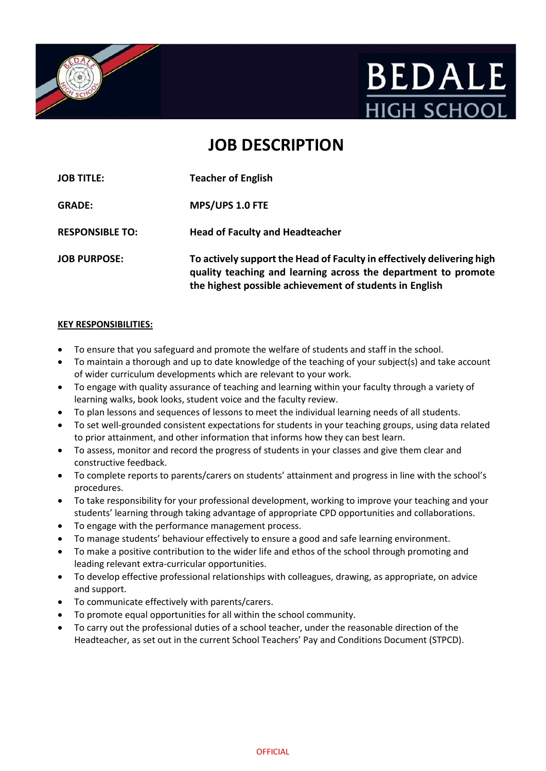



# **JOB DESCRIPTION**

**JOB TITLE: Teacher of English GRADE: MPS/UPS 1.0 FTE RESPONSIBLE TO: Head of Faculty and Headteacher JOB PURPOSE: To actively support the Head of Faculty in effectively delivering high quality teaching and learning across the department to promote the highest possible achievement of students in English**

#### **KEY RESPONSIBILITIES:**

- To ensure that you safeguard and promote the welfare of students and staff in the school.
- To maintain a thorough and up to date knowledge of the teaching of your subject(s) and take account of wider curriculum developments which are relevant to your work.
- To engage with quality assurance of teaching and learning within your faculty through a variety of learning walks, book looks, student voice and the faculty review.
- To plan lessons and sequences of lessons to meet the individual learning needs of all students.
- To set well-grounded consistent expectations for students in your teaching groups, using data related to prior attainment, and other information that informs how they can best learn.
- To assess, monitor and record the progress of students in your classes and give them clear and constructive feedback.
- To complete reports to parents/carers on students' attainment and progress in line with the school's procedures.
- To take responsibility for your professional development, working to improve your teaching and your students' learning through taking advantage of appropriate CPD opportunities and collaborations.
- To engage with the performance management process.
- To manage students' behaviour effectively to ensure a good and safe learning environment.
- To make a positive contribution to the wider life and ethos of the school through promoting and leading relevant extra-curricular opportunities.
- To develop effective professional relationships with colleagues, drawing, as appropriate, on advice and support.
- To communicate effectively with parents/carers.
- To promote equal opportunities for all within the school community.
- To carry out the professional duties of a school teacher, under the reasonable direction of the Headteacher, as set out in the current School Teachers' Pay and Conditions Document (STPCD).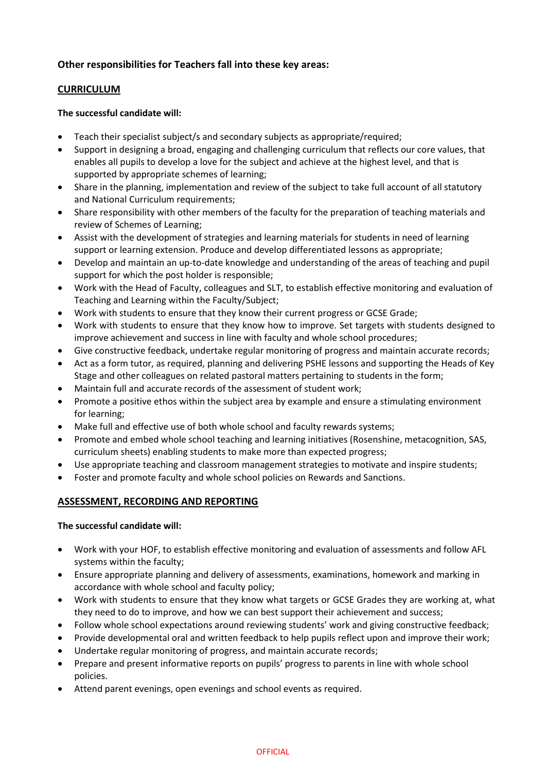# **Other responsibilities for Teachers fall into these key areas:**

# **CURRICULUM**

## **The successful candidate will:**

- Teach their specialist subject/s and secondary subjects as appropriate/required;
- Support in designing a broad, engaging and challenging curriculum that reflects our core values, that enables all pupils to develop a love for the subject and achieve at the highest level, and that is supported by appropriate schemes of learning;
- Share in the planning, implementation and review of the subject to take full account of all statutory and National Curriculum requirements;
- Share responsibility with other members of the faculty for the preparation of teaching materials and review of Schemes of Learning;
- Assist with the development of strategies and learning materials for students in need of learning support or learning extension. Produce and develop differentiated lessons as appropriate;
- Develop and maintain an up-to-date knowledge and understanding of the areas of teaching and pupil support for which the post holder is responsible;
- Work with the Head of Faculty, colleagues and SLT, to establish effective monitoring and evaluation of Teaching and Learning within the Faculty/Subject;
- Work with students to ensure that they know their current progress or GCSE Grade;
- Work with students to ensure that they know how to improve. Set targets with students designed to improve achievement and success in line with faculty and whole school procedures;
- Give constructive feedback, undertake regular monitoring of progress and maintain accurate records;
- Act as a form tutor, as required, planning and delivering PSHE lessons and supporting the Heads of Key Stage and other colleagues on related pastoral matters pertaining to students in the form;
- Maintain full and accurate records of the assessment of student work;
- Promote a positive ethos within the subject area by example and ensure a stimulating environment for learning;
- Make full and effective use of both whole school and faculty rewards systems;
- Promote and embed whole school teaching and learning initiatives (Rosenshine, metacognition, SAS, curriculum sheets) enabling students to make more than expected progress;
- Use appropriate teaching and classroom management strategies to motivate and inspire students;
- Foster and promote faculty and whole school policies on Rewards and Sanctions.

## **ASSESSMENT, RECORDING AND REPORTING**

## **The successful candidate will:**

- Work with your HOF, to establish effective monitoring and evaluation of assessments and follow AFL systems within the faculty;
- Ensure appropriate planning and delivery of assessments, examinations, homework and marking in accordance with whole school and faculty policy;
- Work with students to ensure that they know what targets or GCSE Grades they are working at, what they need to do to improve, and how we can best support their achievement and success;
- Follow whole school expectations around reviewing students' work and giving constructive feedback;
- Provide developmental oral and written feedback to help pupils reflect upon and improve their work;
- Undertake regular monitoring of progress, and maintain accurate records;
- Prepare and present informative reports on pupils' progress to parents in line with whole school policies.
- Attend parent evenings, open evenings and school events as required.

#### **OFFICIAL**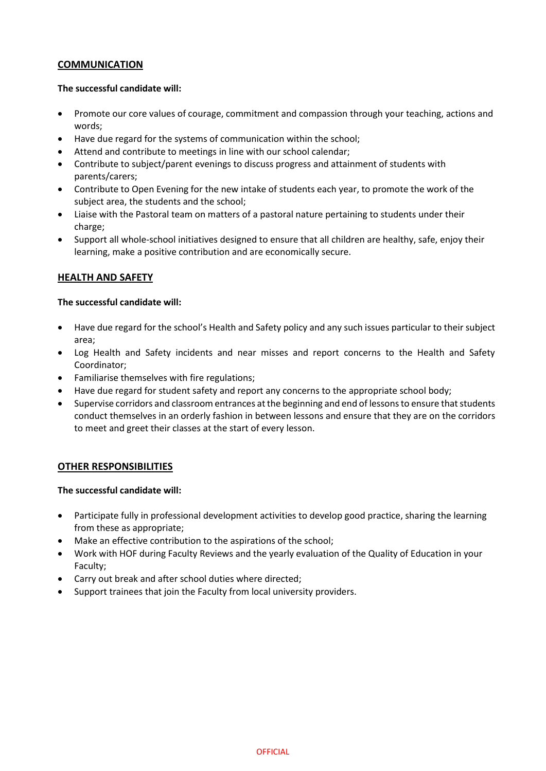## **COMMUNICATION**

#### **The successful candidate will:**

- Promote our core values of courage, commitment and compassion through your teaching, actions and words;
- Have due regard for the systems of communication within the school;
- Attend and contribute to meetings in line with our school calendar;
- Contribute to subject/parent evenings to discuss progress and attainment of students with parents/carers;
- Contribute to Open Evening for the new intake of students each year, to promote the work of the subject area, the students and the school;
- Liaise with the Pastoral team on matters of a pastoral nature pertaining to students under their charge;
- Support all whole-school initiatives designed to ensure that all children are healthy, safe, enjoy their learning, make a positive contribution and are economically secure.

# **HEALTH AND SAFETY**

#### **The successful candidate will:**

- Have due regard for the school's Health and Safety policy and any such issues particular to their subject area;
- Log Health and Safety incidents and near misses and report concerns to the Health and Safety Coordinator;
- Familiarise themselves with fire regulations;
- Have due regard for student safety and report any concerns to the appropriate school body;
- Supervise corridors and classroom entrances at the beginning and end of lessons to ensure that students conduct themselves in an orderly fashion in between lessons and ensure that they are on the corridors to meet and greet their classes at the start of every lesson.

## **OTHER RESPONSIBILITIES**

#### **The successful candidate will:**

- Participate fully in professional development activities to develop good practice, sharing the learning from these as appropriate;
- Make an effective contribution to the aspirations of the school;
- Work with HOF during Faculty Reviews and the yearly evaluation of the Quality of Education in your Faculty;
- Carry out break and after school duties where directed;
- Support trainees that join the Faculty from local university providers.